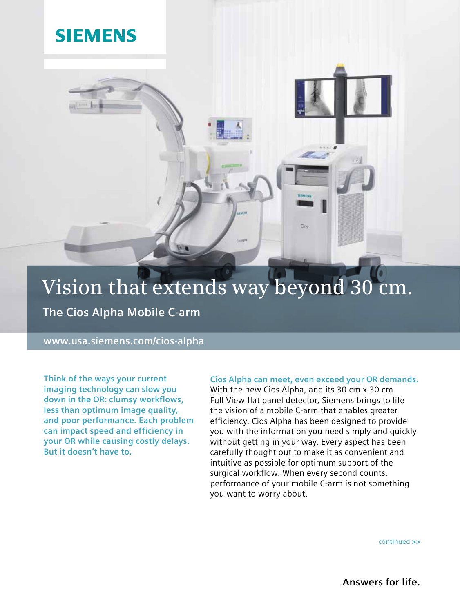## **SIEMENS**

# **Vision that extends way beyond 30 cm.**

**The Cios Alpha Mobile C-arm**

**www.usa.siemens.com/cios-alpha**

**Think of the ways your current imaging technology can slow you down in the OR: clumsy workflows, less than optimum image quality, and poor performance. Each problem can impact speed and efficiency in your OR while causing costly delays. But it doesn't have to.** 

### **Cios Alpha can meet, even exceed your OR demands.**

**Got** 

With the new Cios Alpha, and its 30 cm x 30 cm Full View flat panel detector, Siemens brings to life the vision of a mobile C-arm that enables greater efficiency. Cios Alpha has been designed to provide you with the information you need simply and quickly without getting in your way. Every aspect has been carefully thought out to make it as convenient and intuitive as possible for optimum support of the surgical workflow. When every second counts, performance of your mobile C-arm is not something you want to worry about.

continued **>>**